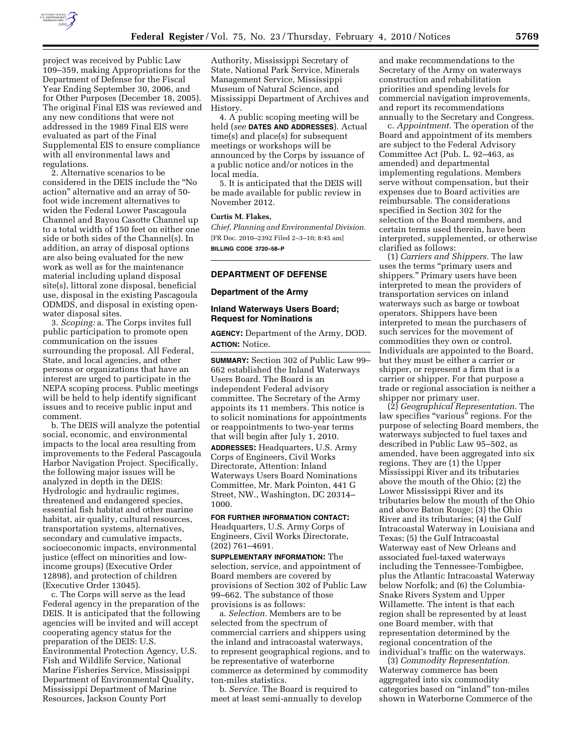

project was received by Public Law 109–359, making Appropriations for the Department of Defense for the Fiscal Year Ending September 30, 2006, and for Other Purposes (December 18, 2005). The original Final EIS was reviewed and any new conditions that were not addressed in the 1989 Final EIS were evaluated as part of the Final Supplemental EIS to ensure compliance with all environmental laws and regulations.

2. Alternative scenarios to be considered in the DEIS include the ''No action'' alternative and an array of 50 foot wide increment alternatives to widen the Federal Lower Pascagoula Channel and Bayou Casotte Channel up to a total width of 150 feet on either one side or both sides of the Channel(s). In addition, an array of disposal options are also being evaluated for the new work as well as for the maintenance material including upland disposal site(s), littoral zone disposal, beneficial use, disposal in the existing Pascagoula ODMDS, and disposal in existing openwater disposal sites.

3. *Scoping:* a. The Corps invites full public participation to promote open communication on the issues surrounding the proposal. All Federal, State, and local agencies, and other persons or organizations that have an interest are urged to participate in the NEPA scoping process. Public meetings will be held to help identify significant issues and to receive public input and comment.

b. The DEIS will analyze the potential social, economic, and environmental impacts to the local area resulting from improvements to the Federal Pascagoula Harbor Navigation Project. Specifically, the following major issues will be analyzed in depth in the DEIS: Hydrologic and hydraulic regimes, threatened and endangered species, essential fish habitat and other marine habitat, air quality, cultural resources, transportation systems, alternatives, secondary and cumulative impacts, socioeconomic impacts, environmental justice (effect on minorities and lowincome groups) (Executive Order 12898), and protection of children (Executive Order 13045).

c. The Corps will serve as the lead Federal agency in the preparation of the DEIS. It is anticipated that the following agencies will be invited and will accept cooperating agency status for the preparation of the DEIS: U.S. Environmental Protection Agency, U.S. Fish and Wildlife Service, National Marine Fisheries Service, Mississippi Department of Environmental Quality, Mississippi Department of Marine Resources, Jackson County Port

Authority, Mississippi Secretary of State, National Park Service, Minerals Management Service, Mississippi Museum of Natural Science, and Mississippi Department of Archives and History.

4. A public scoping meeting will be held (*see* **DATES AND ADDRESSES**). Actual time(s) and place(s) for subsequent meetings or workshops will be announced by the Corps by issuance of a public notice and/or notices in the local media.

5. It is anticipated that the DEIS will be made available for public review in November 2012.

## **Curtis M. Flakes,**

*Chief, Planning and Environmental Division.*  [FR Doc. 2010–2392 Filed 2–3–10; 8:45 am] **BILLING CODE 3720–58–P** 

## **DEPARTMENT OF DEFENSE**

#### **Department of the Army**

## **Inland Waterways Users Board; Request for Nominations**

**AGENCY:** Department of the Army, DOD. **ACTION:** Notice.

**SUMMARY:** Section 302 of Public Law 99– 662 established the Inland Waterways Users Board. The Board is an independent Federal advisory committee. The Secretary of the Army appoints its 11 members. This notice is to solicit nominations for appointments or reappointments to two-year terms that will begin after July 1, 2010. **ADDRESSES:** Headquarters, U.S. Army Corps of Engineers, Civil Works Directorate, Attention: Inland Waterways Users Board Nominations Committee, Mr. Mark Pointon, 441 G Street, NW., Washington, DC 20314– 1000.

## **FOR FURTHER INFORMATION CONTACT:**  Headquarters, U.S. Army Corps of Engineers, Civil Works Directorate, (202) 761–4691.

**SUPPLEMENTARY INFORMATION:** The selection, service, and appointment of Board members are covered by provisions of Section 302 of Public Law 99–662. The substance of those provisions is as follows:

a. *Selection.* Members are to be selected from the spectrum of commercial carriers and shippers using the inland and intracoastal waterways, to represent geographical regions, and to be representative of waterborne commerce as determined by commodity ton-miles statistics.

b. *Service.* The Board is required to meet at least semi-annually to develop

and make recommendations to the Secretary of the Army on waterways construction and rehabilitation priorities and spending levels for commercial navigation improvements, and report its recommendations annually to the Secretary and Congress.

c. *Appointment.* The operation of the Board and appointment of its members are subject to the Federal Advisory Committee Act (Pub. L. 92–463, as amended) and departmental implementing regulations. Members serve without compensation, but their expenses due to Board activities are reimbursable. The considerations specified in Section 302 for the selection of the Board members, and certain terms used therein, have been interpreted, supplemented, or otherwise clarified as follows:

(1) *Carriers and Shippers.* The law uses the terms ''primary users and shippers.'' Primary users have been interpreted to mean the providers of transportation services on inland waterways such as barge or towboat operators. Shippers have been interpreted to mean the purchasers of such services for the movement of commodities they own or control. Individuals are appointed to the Board, but they must be either a carrier or shipper, or represent a firm that is a carrier or shipper. For that purpose a trade or regional association is neither a shipper nor primary user.

(2) *Geographical Representation.* The law specifies "various" regions. For the purpose of selecting Board members, the waterways subjected to fuel taxes and described in Public Law 95–502, as amended, have been aggregated into six regions. They are (1) the Upper Mississippi River and its tributaries above the mouth of the Ohio; (2) the Lower Mississippi River and its tributaries below the mouth of the Ohio and above Baton Rouge; (3) the Ohio River and its tributaries; (4) the Gulf Intracoastal Waterway in Louisiana and Texas; (5) the Gulf Intracoastal Waterway east of New Orleans and associated fuel-taxed waterways including the Tennessee-Tombigbee, plus the Atlantic Intracoastal Waterway below Norfolk; and (6) the Columbia-Snake Rivers System and Upper Willamette. The intent is that each region shall be represented by at least one Board member, with that representation determined by the regional concentration of the individual's traffic on the waterways.

(3) *Commodity Representation.*  Waterway commerce has been aggregated into six commodity categories based on ''inland'' ton-miles shown in Waterborne Commerce of the